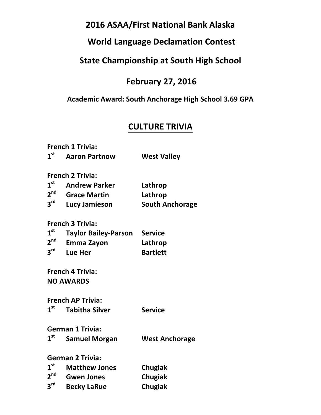# **2016 ASAA/First National Bank Alaska**

# **World Language Declamation Contest**

# **State Championship at South High School**

# **February 27, 2016**

#### **Academic Award: South Anchorage High School 3.69 GPA**

# **CULTURE TRIVIA**

|                 | <b>French 1 Trivia:</b>     |                        |
|-----------------|-----------------------------|------------------------|
| 1 <sup>st</sup> | <b>Aaron Partnow</b>        | <b>West Valley</b>     |
|                 | <b>French 2 Trivia:</b>     |                        |
| 1 <sup>st</sup> | <b>Andrew Parker</b>        | Lathrop                |
| 2 <sup>nd</sup> | <b>Grace Martin</b>         | Lathrop                |
| $3^{\text{rd}}$ | Lucy Jamieson               | <b>South Anchorage</b> |
|                 | <b>French 3 Trivia:</b>     |                        |
| 1 <sup>st</sup> | <b>Taylor Bailey-Parson</b> | <b>Service</b>         |
| $2^{nd}$        | <b>Emma Zayon</b>           | Lathrop                |
| $3^{\text{rd}}$ | Lue Her                     | <b>Bartlett</b>        |
|                 | <b>French 4 Trivia:</b>     |                        |
|                 | <b>NO AWARDS</b>            |                        |
|                 | <b>French AP Trivia:</b>    |                        |
| 1 <sup>st</sup> | <b>Tabitha Silver</b>       | <b>Service</b>         |
|                 | <b>German 1 Trivia:</b>     |                        |
| $1^{\rm st}$    | <b>Samuel Morgan</b>        | <b>West Anchorage</b>  |
|                 | <b>German 2 Trivia:</b>     |                        |
| 1 <sup>st</sup> | <b>Matthew Jones</b>        | Chugiak                |
| 2 <sup>nd</sup> | <b>Gwen Jones</b>           | <b>Chugiak</b>         |
| $3^{\text{rd}}$ | <b>Becky LaRue</b>          | <b>Chugiak</b>         |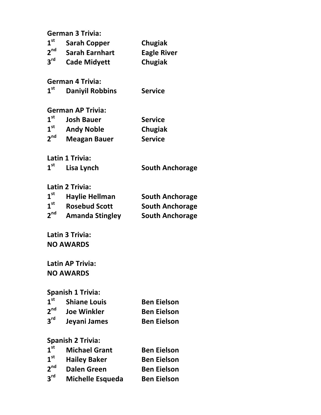|                                | <b>German 3 Trivia:</b>  |                        |
|--------------------------------|--------------------------|------------------------|
| 1 <sup>st</sup>                | <b>Sarah Copper</b>      | <b>Chugiak</b>         |
| $2^{nd}$                       | <b>Sarah Earnhart</b>    | <b>Eagle River</b>     |
| $3^{\text{rd}}$                | <b>Cade Midyett</b>      | <b>Chugiak</b>         |
|                                | <b>German 4 Trivia:</b>  |                        |
| $\boldsymbol{1}^{\textsf{st}}$ | <b>Daniyil Robbins</b>   | <b>Service</b>         |
|                                | <b>German AP Trivia:</b> |                        |
| $1^{\rm st}$                   | <b>Josh Bauer</b>        | <b>Service</b>         |
| $1^{\rm st}$                   | <b>Andy Noble</b>        | <b>Chugiak</b>         |
| $2^{nd}$                       | <b>Meagan Bauer</b>      | <b>Service</b>         |
|                                | Latin 1 Trivia:          |                        |
| 1 <sup>st</sup>                | Lisa Lynch               | <b>South Anchorage</b> |
|                                | <b>Latin 2 Trivia:</b>   |                        |
| 1 <sup>st</sup>                | <b>Haylie Hellman</b>    | <b>South Anchorage</b> |
| 1 <sup>st</sup>                | <b>Rosebud Scott</b>     | <b>South Anchorage</b> |
| 2 <sup>nd</sup>                | <b>Amanda Stingley</b>   | <b>South Anchorage</b> |
|                                | Latin 3 Trivia:          |                        |
|                                | <b>NO AWARDS</b>         |                        |
|                                | <b>Latin AP Trivia:</b>  |                        |
|                                | <b>NO AWARDS</b>         |                        |
|                                | <b>Spanish 1 Trivia:</b> |                        |
| 1 <sup>st</sup>                | <b>Shiane Louis</b>      | <b>Ben Eielson</b>     |

|                 | <b>Shiane Louis</b> | <b>Ben Eleison</b> |
|-----------------|---------------------|--------------------|
| 2 <sup>nd</sup> | <b>Joe Winkler</b>  | <b>Ben Eielson</b> |
| 3 <sup>rd</sup> | Jeyani James        | <b>Ben Eielson</b> |

# **Spanish 2 Trivia:**

| 1 <sup>st</sup> | <b>Michael Grant</b>    | <b>Ben Eielson</b> |
|-----------------|-------------------------|--------------------|
| 1 <sup>st</sup> | <b>Hailey Baker</b>     | <b>Ben Eielson</b> |
| 2 <sup>nd</sup> | <b>Dalen Green</b>      | <b>Ben Eielson</b> |
| 3 <sup>rd</sup> | <b>Michelle Esqueda</b> | <b>Ben Eielson</b> |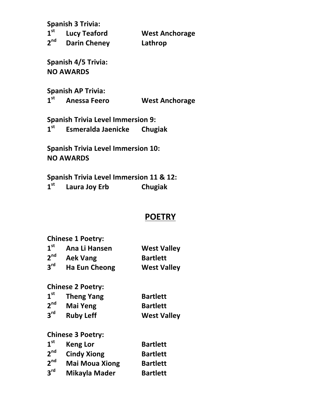**Spanish 3 Trivia:**

| 1 <sup>st</sup> | <b>Lucy Teaford</b> | <b>West Anchorage</b> |
|-----------------|---------------------|-----------------------|
| 2 <sup>nd</sup> | <b>Darin Cheney</b> | Lathrop               |

**Spanish 4/5 Trivia: NO AWARDS**

**Spanish AP Trivia:**<br>1<sup>st</sup> Anessa Feerd

**1st Anessa Feero West Anchorage** 

**Spanish Trivia Level Immersion 9: 1st Esmeralda Jaenicke Chugiak**

**Spanish Trivia Level Immersion 10: NO AWARDS**

**Spanish Trivia Level Immersion 11 & 12: 1st Laura Joy Erb Chugiak**

### **POETRY**

**Chinese 1 Poetry:**

| 1 <sup>st</sup> | Ana Li Hansen        | <b>West Valley</b> |
|-----------------|----------------------|--------------------|
| 2 <sup>nd</sup> | <b>Aek Vang</b>      | <b>Bartlett</b>    |
| 3 <sup>rd</sup> | <b>Ha Eun Cheong</b> | <b>West Valley</b> |

**Chinese 2 Poetry:**

| 1 <sup>st</sup> | <b>Theng Yang</b> | <b>Bartlett</b>    |
|-----------------|-------------------|--------------------|
| 2 <sup>nd</sup> | Mai Yeng          | <b>Bartlett</b>    |
| 3 <sup>rd</sup> | <b>Ruby Leff</b>  | <b>West Valley</b> |

**Chinese 3 Poetry:**

| 1 <sup>st</sup> | <b>Keng Lor</b>       | <b>Bartlett</b> |
|-----------------|-----------------------|-----------------|
| 2 <sup>nd</sup> | <b>Cindy Xiong</b>    | <b>Bartlett</b> |
| 2 <sup>nd</sup> | <b>Mai Moua Xiong</b> | <b>Bartlett</b> |
| 3 <sup>rd</sup> | Mikayla Mader         | <b>Bartlett</b> |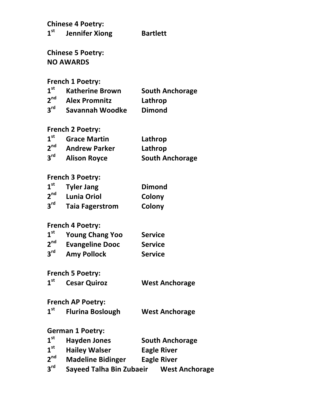**Chinese 4 Poetry: st Jennifer Xiong Bartlett**

**Chinese 5 Poetry: NO AWARDS**

French 1 Poetry:

| 1 <sup>st</sup> | <b>Katherine Brown</b> | <b>South Anchorage</b> |
|-----------------|------------------------|------------------------|
| 2 <sup>nd</sup> | <b>Alex Promnitz</b>   | Lathrop                |
| 3 <sup>rd</sup> | Savannah Woodke        | <b>Dimond</b>          |

#### **French 2 Poetry:**

| $1^{\rm st}$    | <b>Grace Martin</b>  | Lathrop                |
|-----------------|----------------------|------------------------|
| 2 <sup>nd</sup> | <b>Andrew Parker</b> | Lathrop                |
| 3 <sup>rd</sup> | <b>Alison Royce</b>  | <b>South Anchorage</b> |

# **French 3 Poetry:**

| 1 <sup>st</sup> | <b>Tyler Jang</b>      | <b>Dimond</b> |
|-----------------|------------------------|---------------|
| 2 <sup>nd</sup> | <b>Lunia Oriol</b>     | Colony        |
| 3 <sup>rd</sup> | <b>Taia Fagerstrom</b> | Colony        |

#### **French 4 Poetry:**

| 1 <sup>st</sup> | <b>Young Chang Yoo</b> | <b>Service</b> |
|-----------------|------------------------|----------------|
| 2 <sup>nd</sup> | <b>Evangeline Dooc</b> | <b>Service</b> |
| 3 <sup>rd</sup> | <b>Amy Pollock</b>     | <b>Service</b> |

#### French 5 Poetry:

**st Cesar Quiroz West Anchorage**

#### **French AP Poetry:**

| 1 <sup>st</sup> | <b>Flurina Boslough</b> | <b>West Anchorage</b> |
|-----------------|-------------------------|-----------------------|
|-----------------|-------------------------|-----------------------|

#### **German 1 Poetry:**

| 1 <sup>st</sup> | <b>Hayden Jones</b>             | <b>South Anchorage</b> |
|-----------------|---------------------------------|------------------------|
| 1 <sup>st</sup> | <b>Hailey Walser</b>            | <b>Eagle River</b>     |
| 2 <sup>nd</sup> | <b>Madeline Bidinger</b>        | <b>Eagle River</b>     |
| $3^{\text{rd}}$ | <b>Sayeed Talha Bin Zubaeir</b> | <b>West Anchorage</b>  |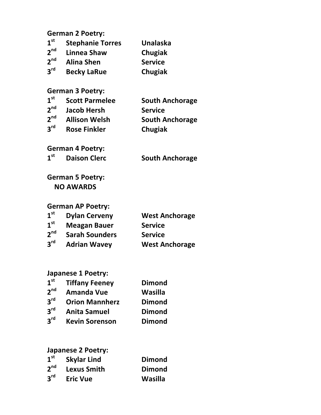## **German 2 Poetry:**

| 1 <sup>st</sup> | <b>Stephanie Torres</b> | <b>Unalaska</b> |
|-----------------|-------------------------|-----------------|
| 2 <sup>nd</sup> | Linnea Shaw             | Chugiak         |
| 2 <sup>nd</sup> | <b>Alina Shen</b>       | <b>Service</b>  |

**rd Becky LaRue Chugiak**

#### **German 3 Poetry:**

| 1 <sup>st</sup> | <b>Scott Parmelee</b> | <b>South Anchorage</b> |
|-----------------|-----------------------|------------------------|
| 2 <sup>nd</sup> | <b>Jacob Hersh</b>    | <b>Service</b>         |
| 2 <sup>nd</sup> | <b>Allison Welsh</b>  | <b>South Anchorage</b> |
| $2^{\text{rd}}$ | <b>Rose Finkler</b>   | Chugiak                |

**German 4 Poetry:**

1<sup>st</sup> Daison Clerc **South Anchorage** 

### **German 5 Poetry: NO AWARDS**

#### **German AP Poetry:**

| 1 <sup>st</sup> | <b>Dylan Cerveny</b>  | <b>West Anchorage</b> |
|-----------------|-----------------------|-----------------------|
| 1 <sup>st</sup> | <b>Meagan Bauer</b>   | <b>Service</b>        |
| 2 <sup>nd</sup> | <b>Sarah Sounders</b> | <b>Service</b>        |
| 3 <sup>rd</sup> | <b>Adrian Wavey</b>   | <b>West Anchorage</b> |

#### **Japanese 1 Poetry:**

| 1 <sup>st</sup> | <b>Tiffany Feeney</b> | <b>Dimond</b>  |
|-----------------|-----------------------|----------------|
| 2 <sup>nd</sup> | <b>Amanda Vue</b>     | <b>Wasilla</b> |
| 3 <sup>rd</sup> | <b>Orion Mannherz</b> | <b>Dimond</b>  |
| 3 <sup>rd</sup> | <b>Anita Samuel</b>   | <b>Dimond</b>  |
| $2^{\text{rd}}$ | <b>Kevin Sorenson</b> | <b>Dimond</b>  |

## **Japanese 2 Poetry:**

| 1 <sup>st</sup> | <b>Skylar Lind</b> | <b>Dimond</b> |
|-----------------|--------------------|---------------|
| 2 <sup>nd</sup> | <b>Lexus Smith</b> | <b>Dimond</b> |
| 3 <sup>rd</sup> | <b>Eric Vue</b>    | Wasilla       |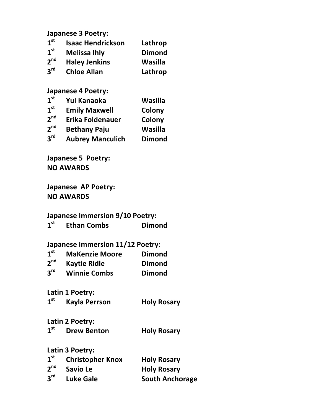**Japanese 3 Poetry:**

| 1 <sup>st</sup> | <b>Isaac Hendrickson</b> | Lathrop       |
|-----------------|--------------------------|---------------|
| 1 <sup>st</sup> | <b>Melissa Ihly</b>      | <b>Dimond</b> |
| 2 <sup>nd</sup> | <b>Haley Jenkins</b>     | Wasilla       |
| $2^{\text{rd}}$ | <b>Chloe Allan</b>       | Lathrop       |

#### **Japanese 4 Poetry:**

| 1 <sup>st</sup> | Yui Kanaoka | Wasilla |
|-----------------|-------------|---------|
| - 0             |             |         |

- 1<sup>st</sup> Emily Maxwell **Colony**<br>2<sup>nd</sup> Erika Foldenauer Colony
- **2<sup>nd</sup> Erika Foldenauer** Colony<br>2<sup>nd</sup> Bethany Paiu **Wasilla**
- **2nd Bethany Paju Wasilla**
- **3rd Aubrey Manculich Dimond**

**Japanese 5 Poetry: NO AWARDS**

**Japanese AP Poetry: NO AWARDS**

#### **Japanese Immersion 9/10 Poetry:**

| 1 <sup>st</sup> | <b>Ethan Combs</b> | <b>Dimond</b> |
|-----------------|--------------------|---------------|
|-----------------|--------------------|---------------|

#### **Japanese Immersion 11/12 Poetry:**

| 1 <sup>st</sup> | <b>MaKenzie Moore</b> | <b>Dimond</b> |
|-----------------|-----------------------|---------------|
| 2 <sup>nd</sup> | <b>Kaytie Ridle</b>   | <b>Dimond</b> |
| $3^{\text{rd}}$ | <b>Winnie Combs</b>   | <b>Dimond</b> |

Latin 1 Poetry:

| 1 <sup>st</sup> | <b>Kayla Perrson</b> | <b>Holy Rosary</b> |
|-----------------|----------------------|--------------------|
|-----------------|----------------------|--------------------|

**Latin 2 Poetry:**

**1st Drew Benton Holy Rosary**

**Latin 3 Poetry:**

| 1 <sup>st</sup> | <b>Christopher Knox</b> | <b>Holy Rosary</b>     |
|-----------------|-------------------------|------------------------|
| 2 <sup>nd</sup> | Savio Le                | <b>Holy Rosary</b>     |
| 3 <sup>rd</sup> | <b>Luke Gale</b>        | <b>South Anchorage</b> |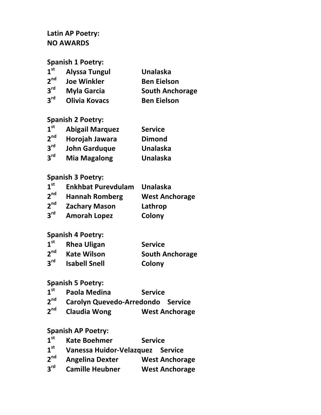#### Latin AP Poetry: **NO AWARDS**

**Spanish 1 Poetry:** 

| 1 <sup>st</sup> | Alyssa Tungul      | <b>Unalaska</b>        |
|-----------------|--------------------|------------------------|
| 2 <sup>nd</sup> | <b>Joe Winkler</b> | <b>Ben Eielson</b>     |
| 3 <sup>rd</sup> | Myla Garcia        | <b>South Anchorage</b> |

**3rd Myla Garcia South Anchorage 3rd Olivia Kovacs Ben Eielson**

#### **Spanish 2 Poetry:**

| 1 <sup>st</sup> | <b>Abigail Marquez</b> | <b>Service</b>  |
|-----------------|------------------------|-----------------|
| 2 <sup>nd</sup> | Horojah Jawara         | <b>Dimond</b>   |
| 3 <sup>rd</sup> | <b>John Garduque</b>   | <b>Unalaska</b> |
| 3 <sup>rd</sup> | <b>Mia Magalong</b>    | <b>Unalaska</b> |

#### **Spanish 3 Poetry:**

| 1 <sup>st</sup> | <b>Enkhbat Purevdulam</b> | <b>Unalaska</b>       |
|-----------------|---------------------------|-----------------------|
| 2 <sup>nd</sup> | <b>Hannah Romberg</b>     | <b>West Anchorage</b> |
| 2 <sup>nd</sup> | <b>Zachary Mason</b>      | Lathrop               |
| 3 <sup>rd</sup> | <b>Amorah Lopez</b>       | Colony                |

#### **Spanish 4 Poetry:**

| $1^{\rm st}$    | <b>Rhea Uligan</b>   | <b>Service</b>         |
|-----------------|----------------------|------------------------|
| 2 <sup>nd</sup> | <b>Kate Wilson</b>   | <b>South Anchorage</b> |
| 3 <sup>rd</sup> | <b>Isabell Snell</b> | Colony                 |

#### **Spanish 5 Poetry:**

- **1st Paola Medina Service**
- **2nd Carolyn Quevedo-Arredondo Service**
- **2<sup>nd</sup> Claudia Wong West Anchorage**

#### **Spanish AP Poetry:**

- 1<sup>st</sup> Kate Boehmer Service<br>1<sup>st</sup> Vanessa Huidor-Velazquez Se
- 1<sup>st</sup> Vanessa Huidor-Velazquez Service<br>2<sup>nd</sup> Angelina Dexter **West Anchora**
- **2Angelina Dexter West Anchorage**
- **3<sup>rd</sup> Camille Heubner West Anchorage**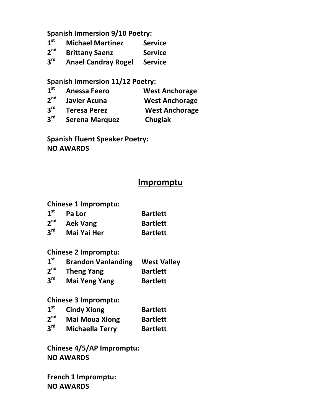**Spanish Immersion 9/10 Poetry:** 

- 1<sup>st</sup> Michael Martinez Service<br>2<sup>nd</sup> Brittany Saenz Service **2nd Brittany Saenz Service**
- 
- **3rd Anael Candray Rogel Service**

#### **Spanish Immersion 11/12 Poetry:**

- 1<sup>st</sup> Anessa Feero **West Anchorage**<br>
2<sup>nd</sup> Javier Acuna **Mest Anchorage 2<sup>nd</sup> Javier Acuna** *Mest Anchorage* **3<sup>rd</sup> Teresa Perez** *West Anchorage*
- **3rd Teresa Perez West Anchorage**
- **3rd Serena Marquez Chugiak**

**Spanish Fluent Speaker Poetry: NO AWARDS**

#### **Impromptu**

**Chinese 1 Impromptu:**

| 1 <sup>st</sup> | Pa Lor             | <b>Bartlett</b> |
|-----------------|--------------------|-----------------|
| 2 <sup>nd</sup> | <b>Aek Vang</b>    | <b>Bartlett</b> |
| 3 <sup>rd</sup> | <b>Mai Yai Her</b> | <b>Bartlett</b> |

#### **Chinese 2 Impromptu:**

| 1 <sup>st</sup> | <b>Brandon Vanlanding</b> | <b>West Valley</b> |
|-----------------|---------------------------|--------------------|
| 2 <sup>nd</sup> | <b>Theng Yang</b>         | <b>Bartlett</b>    |
| 3 <sup>rd</sup> | <b>Mai Yeng Yang</b>      | <b>Bartlett</b>    |

#### **Chinese 3 Impromptu:**

| 1 <sup>st</sup> | <b>Cindy Xiong</b>     | <b>Bartlett</b> |
|-----------------|------------------------|-----------------|
| 2 <sup>nd</sup> | <b>Mai Moua Xiong</b>  | <b>Bartlett</b> |
| 3 <sup>rd</sup> | <b>Michaella Terry</b> | <b>Bartlett</b> |

**Chinese 4/5/AP Impromptu: NO AWARDS**

**French 1 Impromptu: NO AWARDS**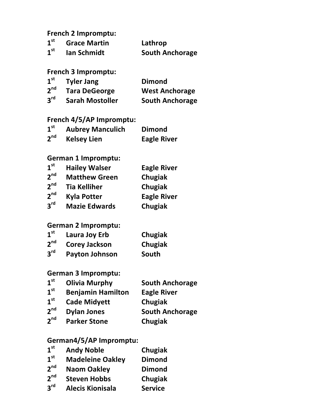#### **French 2 Impromptu:**

| 1 <sup>st</sup> | <b>Grace Martin</b> | Lathrop                |
|-----------------|---------------------|------------------------|
| 1 <sup>st</sup> | <b>Ian Schmidt</b>  | <b>South Anchorage</b> |

#### **French 3 Impromptu:**

| 1 <sup>st</sup> | <b>Tyler Jang</b>      | <b>Dimond</b>          |
|-----------------|------------------------|------------------------|
| 2 <sup>nd</sup> | <b>Tara DeGeorge</b>   | <b>West Anchorage</b>  |
| 3 <sup>rd</sup> | <b>Sarah Mostoller</b> | <b>South Anchorage</b> |

#### French 4/5/AP Impromptu:

| 1 <sup>st</sup> | <b>Aubrey Manculich</b> | <b>Dimond</b>      |
|-----------------|-------------------------|--------------------|
| 2 <sup>nd</sup> | <b>Kelsey Lien</b>      | <b>Eagle River</b> |

# German 1 Impromptu:

| 1 <sup>st</sup> | <b>Hailey Walser</b> | <b>Eagle River</b> |
|-----------------|----------------------|--------------------|
| 2 <sup>nd</sup> | <b>Matthew Green</b> | Chugiak            |
| 2 <sup>nd</sup> | <b>Tia Kelliher</b>  | Chugiak            |
| 2 <sup>nd</sup> | <b>Kyla Potter</b>   | <b>Eagle River</b> |
| $2^{\text{rd}}$ | <b>Mazie Edwards</b> | Chugiak            |

#### **German 2 Impromptu:**

| 1 <sup>st</sup> | Laura Joy Erb         | Chugiak |
|-----------------|-----------------------|---------|
| 2 <sup>nd</sup> | <b>Corey Jackson</b>  | Chugiak |
| 3 <sup>rd</sup> | <b>Payton Johnson</b> | South   |

#### **German 3 Impromptu:**

| 1 <sup>st</sup> | <b>Olivia Murphy</b>     | <b>South Anchorage</b> |
|-----------------|--------------------------|------------------------|
| 1 <sup>st</sup> | <b>Benjamin Hamilton</b> | <b>Eagle River</b>     |
| 1 <sup>st</sup> | <b>Cade Midyett</b>      | Chugiak                |
| 2 <sup>nd</sup> | <b>Dylan Jones</b>       | <b>South Anchorage</b> |
| 2 <sup>nd</sup> | <b>Parker Stone</b>      | Chugiak                |

#### **German4/5/AP Impromptu:**

| $\boldsymbol{1}^{\textsf{st}}$ | <b>Andy Noble</b>       | Chugiak       |
|--------------------------------|-------------------------|---------------|
| $\textbf{1}^{\textsf{st}}$     | <b>Madeleine Oakley</b> | <b>Dimond</b> |

- **nd Naom Oakley Dimond**
- **nd Steven Hobbs Chugiak**
- **rd Alecis Kionisala Service**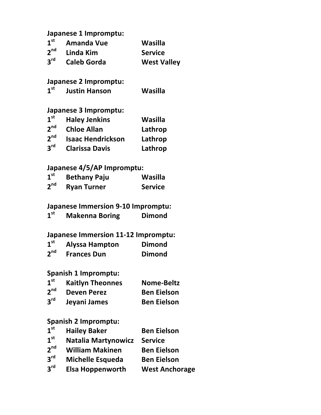#### **Japanese 1 Impromptu:**

| 1 <sup>st</sup> | Amanda Vue         | Wasilla            |
|-----------------|--------------------|--------------------|
| 2 <sup>nd</sup> | Linda Kim          | <b>Service</b>     |
| 3 <sup>rd</sup> | <b>Caleb Gorda</b> | <b>West Valley</b> |

#### **Japanese 2 Impromptu:**

#### **Japanese 3 Impromptu:**

| 1 <sup>st</sup> | <b>Haley Jenkins</b>     | Wasilla |
|-----------------|--------------------------|---------|
| 2 <sup>nd</sup> | <b>Chloe Allan</b>       | Lathrop |
| 2 <sup>nd</sup> | <b>Isaac Hendrickson</b> | Lathrop |
| 3 <sup>rd</sup> | <b>Clarissa Davis</b>    | Lathrop |

#### **Japanese 4/5/AP Impromptu:**

| 1 <sup>st</sup> | <b>Bethany Paju</b> | Wasilla        |
|-----------------|---------------------|----------------|
| 2 <sup>nd</sup> | <b>Ryan Turner</b>  | <b>Service</b> |

# **Japanese Immersion 9-10 Impromptu:**<br>1<sup>st</sup> Makenna Boring Dimond

**st Makenna Boring Dimond**

# **Japanese Immersion 11-12 Impromptu:**<br>1<sup>st</sup> Alyssa Hampton Dimond

**1**<sup>st</sup> Alyssa Hampton **Dimond**<br> **2**<sup>nd</sup> Frances Dun **Dimond 2***n***d<sub>n</sub> <b>2nd**<sub>n</sub> **Dimond** 

#### **Spanish 1 Impromptu:**

| 1 <sup>st</sup> | <b>Kaitlyn Theonnes</b> | <b>Nome-Beltz</b>  |
|-----------------|-------------------------|--------------------|
| 2 <sup>nd</sup> | <b>Deven Perez</b>      | <b>Ben Eielson</b> |
| 3 <sup>rd</sup> | Jeyani James            | <b>Ben Eielson</b> |

#### **Spanish 2 Impromptu:**

| <b>Hailey Baker</b>        | <b>Ben Eielson</b>    |
|----------------------------|-----------------------|
| <b>Natalia Martynowicz</b> | <b>Service</b>        |
| <b>William Makinen</b>     | <b>Ben Eielson</b>    |
| <b>Michelle Esqueda</b>    | <b>Ben Eielson</b>    |
| <b>Elsa Hoppenworth</b>    | <b>West Anchorage</b> |
|                            |                       |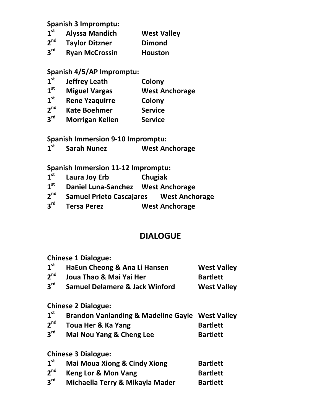**Spanish 3 Impromptu:**

- 1<sup>st</sup> Alyssa Mandich West Valley<br>2<sup>nd</sup> Tavlor Ditzner Dimond
- **2<sup>nd</sup> Taylor Ditzner Dimond**<br>3<sup>rd</sup> Rvan McCrossin **Houston**
- **3rd Ryan McCrossin Houston**

#### **Spanish 4/5/AP Impromptu:**

- **1st Jeffrey Leath Colony**
- 1<sup>st</sup> Miguel Vargas West Anchorage<br>1<sup>st</sup> Rene Yzaguirre Colony
- 1<sup>st</sup> Rene Yzaquirre **Colony**<br>2<sup>nd</sup> Kate Boehmer Service
- **2nd Kate Boehmer Service**
- **3rd Morrigan Kellen Service**

**Spanish Immersion 9-10 Impromptu:** 

**1st Sarah Nunez West Anchorage**

**Spanish Immersion 11-12 Impromptu:** 

- **1st Laura Joy Erb Chugiak**
- 1<sup>st</sup> Daniel Luna-Sanchez West Anchorage<br>2<sup>nd</sup> Samuel Prieto Cascaiares West Ancho
- **2nd Samuel Prieto Cascajares West Anchorage**
- **3rd Tersa Perez West Anchorage**

# **DIALOGUE**

**Chinese 1 Dialogue:**

| $1^{\rm st}$    | HaEun Cheong & Ana Li Hansen              | <b>West Valley</b> |
|-----------------|-------------------------------------------|--------------------|
| 2 <sup>nd</sup> | Joua Thao & Mai Yai Her                   | <b>Bartlett</b>    |
| 3 <sup>rd</sup> | <b>Samuel Delamere &amp; Jack Winford</b> | <b>West Valley</b> |

#### **Chinese 2 Dialogue:**

| 1 <sup>st</sup> | <b>Brandon Vanlanding &amp; Madeline Gayle West Valley</b> |  |
|-----------------|------------------------------------------------------------|--|
|                 |                                                            |  |

- **2nd Toua Her & Ka Yang Bartlett**
- **3rd Mai Nou Yang & Cheng Lee Bartlett**

**Chinese 3 Dialogue:**

| 1 <sup>st</sup> | <b>Mai Moua Xiong &amp; Cindy Xiong</b> | <b>Bartlett</b> |
|-----------------|-----------------------------------------|-----------------|
| 2 <sup>nd</sup> | Keng Lor & Mon Vang                     | <b>Bartlett</b> |
| 3 <sup>rd</sup> | Michaella Terry & Mikayla Mader         | <b>Bartlett</b> |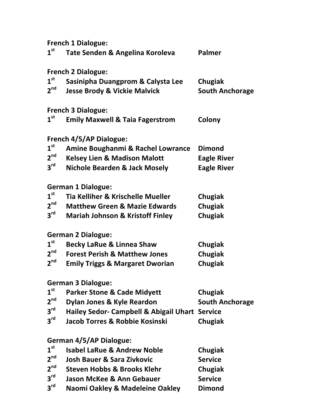**French 1 Dialogue: st Tate Senden & Angelina Koroleva Palmer French 2 Dialogue: st Sasinipha Duangprom & Calysta Lee Chugiak nd Jesse Brody & Vickie Malvick South Anchorage French 3 Dialogue: st Emily Maxwell & Taia Fagerstrom Colony French 4/5/AP Dialogue:** <sup>st</sup> Amine Boughanmi & Rachel Lowrance Dimond<br>2<sup>nd</sup> Kelsey Lien & Madison Malott **Eagle Rives nd Kelsey Lien & Madison Malott Eagle River rd Nichole Bearden & Jack Mosely Eagle River German 1 Dialogue: st Tia Kelliher & Krischelle Mueller Chugiak 2<sup>nd</sup> Matthew Green & Mazie Edwards Chugiak**<br>3<sup>rd</sup> Mariah Johnson & Kristoff Finley Chugiak **rd Mariah Johnson & Kristoff Finley Chugiak German 2 Dialogue: st Becky LaRue & Linnea Shaw Chugiak nd Forest Perish & Matthew Jones Chugiak nd Emily Triggs & Margaret Dworian Chugiak German 3 Dialogue: st Parker Stone & Cade Midyett Chugiak 2<sup>nd</sup> Dylan Jones & Kyle Reardon South Anchorage**<br>3<sup>rd</sup> Hailev Sedor- Campbell & Abigail Uhart Service **rd Hailey Sedor- Campbell & Abigail Uhart Service rd Jacob Torres & Robbie Kosinski Chugiak German 4/5/AP Dialogue:** <sup>st</sup> Isabel LaRue & Andrew Noble **Chugiak**<br>2<sup>nd</sup> Iosh Bauer & Sara Zivkovic **Chugiat** Service **nd Josh Bauer & Sara Zivkovic Service nd Steven Hobbs & Brooks Klehr Chugiak rd Jason McKee & Ann Gebauer Service rd Naomi Oakley & Madeleine Oakley Dimond**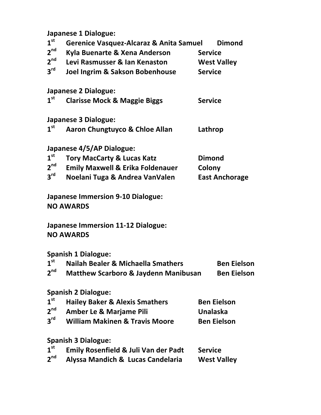**Japanese 1 Dialogue:**

| 1 <sup>st</sup> | Gerenice Vasquez-Alcaraz & Anita Samuel         |                    | <b>Dimond</b>         |
|-----------------|-------------------------------------------------|--------------------|-----------------------|
| 2 <sup>nd</sup> | Kyla Buenarte & Xena Anderson                   | <b>Service</b>     |                       |
| 2 <sup>nd</sup> | Levi Rasmusser & Ian Kenaston                   | <b>West Valley</b> |                       |
| 3 <sup>rd</sup> | Joel Ingrim & Sakson Bobenhouse                 | <b>Service</b>     |                       |
|                 | <b>Japanese 2 Dialogue:</b>                     |                    |                       |
| $1^{\rm st}$    | <b>Clarisse Mock &amp; Maggie Biggs</b>         | <b>Service</b>     |                       |
|                 | <b>Japanese 3 Dialogue:</b>                     |                    |                       |
| 1 <sup>st</sup> | <b>Aaron Chungtuyco &amp; Chloe Allan</b>       | Lathrop            |                       |
|                 | Japanese 4/5/AP Dialogue:                       |                    |                       |
| 1 <sup>st</sup> | <b>Tory MacCarty &amp; Lucas Katz</b>           | <b>Dimond</b>      |                       |
| 2 <sup>nd</sup> | <b>Emily Maxwell &amp; Erika Foldenauer</b>     | Colony             |                       |
| $3^{\text{rd}}$ | Noelani Tuga & Andrea VanValen                  |                    | <b>East Anchorage</b> |
|                 | <b>Japanese Immersion 9-10 Dialogue:</b>        |                    |                       |
|                 | <b>NO AWARDS</b>                                |                    |                       |
|                 | <b>Japanese Immersion 11-12 Dialogue:</b>       |                    |                       |
|                 | <b>NO AWARDS</b>                                |                    |                       |
|                 | <b>Spanish 1 Dialogue:</b>                      |                    |                       |
| 1 <sup>st</sup> | <b>Nailah Bealer &amp; Michaella Smathers</b>   |                    | <b>Ben Eielson</b>    |
| 2 <sup>nd</sup> | <b>Matthew Scarboro &amp; Jaydenn Manibusan</b> |                    | <b>Ben Eielson</b>    |
|                 | <b>Spanish 2 Dialogue:</b>                      |                    |                       |
| 1 <sup>st</sup> | <b>Hailey Baker &amp; Alexis Smathers</b>       | <b>Ben Eielson</b> |                       |
| 2 <sup>nd</sup> | <b>Amber Le &amp; Marjame Pili</b>              | <b>Unalaska</b>    |                       |
| 3 <sup>rd</sup> | <b>William Makinen &amp; Travis Moore</b>       | <b>Ben Eielson</b> |                       |
|                 | <b>Spanish 3 Dialogue:</b>                      |                    |                       |
| 1 <sup>st</sup> | <b>Emily Rosenfield &amp; Juli Van der Padt</b> | <b>Service</b>     |                       |
| 2 <sup>nd</sup> | Alyssa Mandich & Lucas Candelaria               | <b>West Valley</b> |                       |